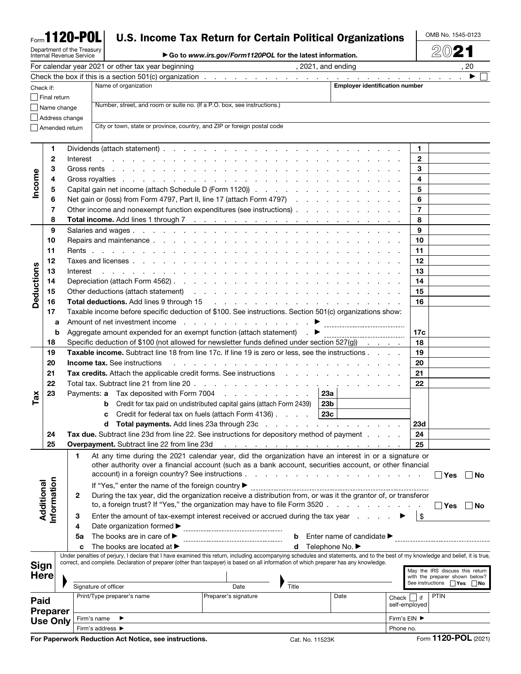| Form <b>1120-POL</b> |  |  |  |
|----------------------|--|--|--|
|                      |  |  |  |

# Department of the Treasury Internal Revenue Service

# U.S. Income Tax Return for Certain Political Organizations

OMB No. 1545-0123 2021

▶ Go to *www.irs.gov/Form1120POL* for the latest information.

|                                                                       |              |                                                                                                                                                                                                                                     | For calendar year 2021 or other tax year beginning                                        | 2021, and ending                                                                                                                                                                                                               |                                       |                         | , 20                                                              |
|-----------------------------------------------------------------------|--------------|-------------------------------------------------------------------------------------------------------------------------------------------------------------------------------------------------------------------------------------|-------------------------------------------------------------------------------------------|--------------------------------------------------------------------------------------------------------------------------------------------------------------------------------------------------------------------------------|---------------------------------------|-------------------------|-------------------------------------------------------------------|
|                                                                       |              |                                                                                                                                                                                                                                     |                                                                                           |                                                                                                                                                                                                                                |                                       |                         |                                                                   |
| Check if:                                                             |              |                                                                                                                                                                                                                                     | Name of organization                                                                      |                                                                                                                                                                                                                                | <b>Employer identification number</b> |                         |                                                                   |
| Final return                                                          |              |                                                                                                                                                                                                                                     |                                                                                           |                                                                                                                                                                                                                                |                                       |                         |                                                                   |
|                                                                       |              | Name change                                                                                                                                                                                                                         | Number, street, and room or suite no. (If a P.O. box, see instructions.)                  |                                                                                                                                                                                                                                |                                       |                         |                                                                   |
|                                                                       |              | Address change                                                                                                                                                                                                                      |                                                                                           |                                                                                                                                                                                                                                |                                       |                         |                                                                   |
|                                                                       |              | Amended return                                                                                                                                                                                                                      | City or town, state or province, country, and ZIP or foreign postal code                  |                                                                                                                                                                                                                                |                                       |                         |                                                                   |
|                                                                       |              |                                                                                                                                                                                                                                     |                                                                                           |                                                                                                                                                                                                                                |                                       |                         |                                                                   |
|                                                                       | 1.           |                                                                                                                                                                                                                                     |                                                                                           |                                                                                                                                                                                                                                |                                       | 1                       |                                                                   |
| Income                                                                | $\mathbf{2}$ | Interest                                                                                                                                                                                                                            |                                                                                           | and the contract of the contract of the contract of the contract of the contract of the contract of                                                                                                                            |                                       | $\mathbf{2}$            |                                                                   |
|                                                                       | 3            |                                                                                                                                                                                                                                     |                                                                                           |                                                                                                                                                                                                                                |                                       | 3                       |                                                                   |
|                                                                       |              |                                                                                                                                                                                                                                     |                                                                                           |                                                                                                                                                                                                                                |                                       | 4                       |                                                                   |
|                                                                       | 5            |                                                                                                                                                                                                                                     |                                                                                           |                                                                                                                                                                                                                                |                                       | 5                       |                                                                   |
|                                                                       | 6            |                                                                                                                                                                                                                                     |                                                                                           | Net gain or (loss) from Form 4797, Part II, line 17 (attach Form 4797)                                                                                                                                                         |                                       | 6                       |                                                                   |
|                                                                       | 7            |                                                                                                                                                                                                                                     |                                                                                           | Other income and nonexempt function expenditures (see instructions)                                                                                                                                                            |                                       | $\overline{7}$          |                                                                   |
|                                                                       | 8            |                                                                                                                                                                                                                                     |                                                                                           |                                                                                                                                                                                                                                |                                       | 8                       |                                                                   |
|                                                                       | 9            |                                                                                                                                                                                                                                     |                                                                                           |                                                                                                                                                                                                                                |                                       | 9                       |                                                                   |
|                                                                       | 10           |                                                                                                                                                                                                                                     |                                                                                           |                                                                                                                                                                                                                                |                                       | 10                      |                                                                   |
|                                                                       | 11           |                                                                                                                                                                                                                                     |                                                                                           |                                                                                                                                                                                                                                |                                       | 11                      |                                                                   |
|                                                                       | 12           |                                                                                                                                                                                                                                     |                                                                                           |                                                                                                                                                                                                                                |                                       | 12                      |                                                                   |
| Deductions                                                            | 13           | Interest                                                                                                                                                                                                                            |                                                                                           | فالقائد والمنافر والمنافر والمنافر والمنافر والمنافر والمنافر والمنافر والمنافر والمنافر والمنافر والمنافر                                                                                                                     |                                       | 13                      |                                                                   |
|                                                                       | 14           |                                                                                                                                                                                                                                     |                                                                                           |                                                                                                                                                                                                                                |                                       | 14                      |                                                                   |
|                                                                       | 15           |                                                                                                                                                                                                                                     |                                                                                           | Other deductions (attach statement) (e.g. in the case of the case of the case of the case of the case of the c                                                                                                                 |                                       | 15                      |                                                                   |
|                                                                       | 16           |                                                                                                                                                                                                                                     |                                                                                           | Total deductions. Add lines 9 through 15 (b) and a set of the set of the set of the set of the set of the set of the set of the set of the set of the set of the set of the set of the set of the set of the set of the set of |                                       | 16                      |                                                                   |
|                                                                       | 17           |                                                                                                                                                                                                                                     |                                                                                           | Taxable income before specific deduction of \$100. See instructions. Section 501(c) organizations show:                                                                                                                        |                                       |                         |                                                                   |
|                                                                       | a            |                                                                                                                                                                                                                                     |                                                                                           |                                                                                                                                                                                                                                |                                       |                         |                                                                   |
|                                                                       | b            |                                                                                                                                                                                                                                     |                                                                                           | Aggregate amount expended for an exempt function (attach statement) $\blacksquare$                                                                                                                                             |                                       | 17c                     |                                                                   |
|                                                                       | 18           |                                                                                                                                                                                                                                     |                                                                                           | Specific deduction of \$100 (not allowed for newsletter funds defined under section 527(g))                                                                                                                                    |                                       | 18                      |                                                                   |
|                                                                       | 19           |                                                                                                                                                                                                                                     |                                                                                           | Taxable income. Subtract line 18 from line 17c. If line 19 is zero or less, see the instructions                                                                                                                               |                                       | 19                      |                                                                   |
|                                                                       | 20           | <b>Income tax.</b> See instructions                                                                                                                                                                                                 | 20<br>والمتعاون والمتعاون والمتعاون والمتعاون والمتعاونة والمتعاونة والمتعاونة والمتعاونة |                                                                                                                                                                                                                                |                                       |                         |                                                                   |
|                                                                       | 21           | <b>Tax credits.</b> Attach the applicable credit forms. See instructions enterstand and an analyzing of the applicable credit forms. See instructions and an analyzing of the applicable credit forms. See instructions and an appl | 21                                                                                        |                                                                                                                                                                                                                                |                                       |                         |                                                                   |
|                                                                       | 22           |                                                                                                                                                                                                                                     |                                                                                           |                                                                                                                                                                                                                                |                                       | 22                      |                                                                   |
|                                                                       | 23           |                                                                                                                                                                                                                                     |                                                                                           |                                                                                                                                                                                                                                |                                       |                         |                                                                   |
| Tax                                                                   |              |                                                                                                                                                                                                                                     | b                                                                                         | Payments: a Tax deposited with Form 7004<br>Credit for tax paid on undistributed capital gains (attach Form 2439)                                                                                                              | 23а<br>23 <sub>b</sub>                |                         |                                                                   |
|                                                                       |              |                                                                                                                                                                                                                                     | c                                                                                         | Credit for federal tax on fuels (attach Form 4136) $\ldots$ $\ldots$ 23c                                                                                                                                                       |                                       |                         |                                                                   |
|                                                                       |              |                                                                                                                                                                                                                                     | d                                                                                         |                                                                                                                                                                                                                                |                                       | <b>23d</b>              |                                                                   |
|                                                                       | 24           |                                                                                                                                                                                                                                     |                                                                                           | Tax due. Subtract line 23d from line 22. See instructions for depository method of payment                                                                                                                                     |                                       | 24                      |                                                                   |
|                                                                       | 25           |                                                                                                                                                                                                                                     |                                                                                           |                                                                                                                                                                                                                                |                                       | 25                      |                                                                   |
|                                                                       |              | 1                                                                                                                                                                                                                                   |                                                                                           | At any time during the 2021 calendar year, did the organization have an interest in or a signature or                                                                                                                          |                                       |                         |                                                                   |
|                                                                       |              |                                                                                                                                                                                                                                     |                                                                                           | other authority over a financial account (such as a bank account, securities account, or other financial                                                                                                                       |                                       |                         |                                                                   |
|                                                                       |              |                                                                                                                                                                                                                                     |                                                                                           |                                                                                                                                                                                                                                |                                       |                         | $\sf Yes$<br>∣No                                                  |
|                                                                       |              |                                                                                                                                                                                                                                     | If "Yes," enter the name of the foreign country ▶                                         |                                                                                                                                                                                                                                |                                       |                         |                                                                   |
|                                                                       |              | 2                                                                                                                                                                                                                                   |                                                                                           | During the tax year, did the organization receive a distribution from, or was it the grantor of, or transferor                                                                                                                 |                                       |                         |                                                                   |
|                                                                       |              |                                                                                                                                                                                                                                     |                                                                                           | to, a foreign trust? If "Yes," the organization may have to file Form 3520                                                                                                                                                     |                                       |                         | _l Yes<br>∣ No                                                    |
| Additional                                                            | nformation   | з                                                                                                                                                                                                                                   |                                                                                           | Enter the amount of tax-exempt interest received or accrued during the tax year                                                                                                                                                |                                       | $\sqrt[6]{\frac{1}{2}}$ |                                                                   |
|                                                                       |              | 4                                                                                                                                                                                                                                   | Date organization formed ▶                                                                |                                                                                                                                                                                                                                |                                       |                         |                                                                   |
|                                                                       |              | 5a                                                                                                                                                                                                                                  | The books are in care of $\blacktriangleright$                                            | b<br>________________________________                                                                                                                                                                                          | Enter name of candidate ▶             |                         |                                                                   |
|                                                                       |              | C                                                                                                                                                                                                                                   | The books are located at $\blacktriangleright$                                            | d                                                                                                                                                                                                                              | Telephone No. ▶                       |                         |                                                                   |
| <b>Sign</b>                                                           |              |                                                                                                                                                                                                                                     |                                                                                           | Under penalties of perjury, I declare that I have examined this return, including accompanying schedules and statements, and to the best of my knowledge and belief, it is true,                                               |                                       |                         |                                                                   |
|                                                                       |              |                                                                                                                                                                                                                                     |                                                                                           | correct, and complete. Declaration of preparer (other than taxpayer) is based on all information of which preparer has any knowledge.                                                                                          |                                       |                         |                                                                   |
| <b>Here</b>                                                           |              |                                                                                                                                                                                                                                     |                                                                                           |                                                                                                                                                                                                                                |                                       |                         | May the IRS discuss this return<br>with the preparer shown below? |
|                                                                       |              |                                                                                                                                                                                                                                     | Signature of officer                                                                      | Title<br>Date                                                                                                                                                                                                                  |                                       |                         | See instructions $\Box$ Yes $\Box$ No                             |
| Paid                                                                  |              |                                                                                                                                                                                                                                     | Print/Type preparer's name                                                                | Preparer's signature                                                                                                                                                                                                           | Date                                  | $Check$     if          | <b>PTIN</b>                                                       |
|                                                                       |              |                                                                                                                                                                                                                                     |                                                                                           |                                                                                                                                                                                                                                |                                       | self-employed           |                                                                   |
| <b>Preparer</b><br>Firm's name<br><b>Use Only</b><br>Firm's address ▶ |              |                                                                                                                                                                                                                                     |                                                                                           |                                                                                                                                                                                                                                | Firm's EIN ▶                          |                         |                                                                   |
|                                                                       |              |                                                                                                                                                                                                                                     |                                                                                           |                                                                                                                                                                                                                                | Phone no.                             |                         |                                                                   |
|                                                                       |              |                                                                                                                                                                                                                                     |                                                                                           |                                                                                                                                                                                                                                |                                       |                         |                                                                   |

For Paperwork Reduction Act Notice, see instructions. Cat. No. 11523K Form 1120-POL (2021)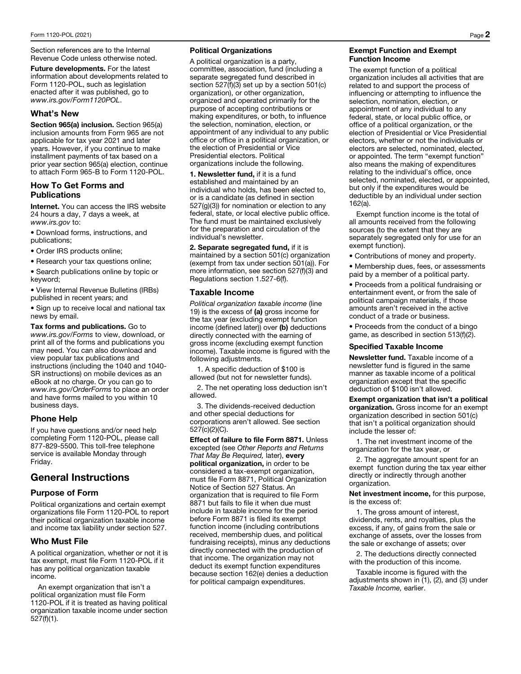Section references are to the Internal Revenue Code unless otherwise noted.

Future developments. For the latest information about developments related to Form 1120-POL, such as legislation enacted after it was published, go to *www.irs.gov/Form1120POL*.

## What's New

Section 965(a) inclusion. Section 965(a) inclusion amounts from Form 965 are not applicable for tax year 2021 and later years. However, if you continue to make installment payments of tax based on a prior year section 965(a) election, continue to attach Form 965-B to Form 1120-POL.

## How To Get Forms and **Publications**

Internet. You can access the IRS website 24 hours a day, 7 days a week, at *www.irs.gov* to:

• Download forms, instructions, and publications;

• Order IRS products online;

• Research your tax questions online;

• Search publications online by topic or keyword;

• View Internal Revenue Bulletins (IRBs) published in recent years; and

• Sign up to receive local and national tax news by email.

Tax forms and publications. Go to *www.irs.gov/Forms* to view, download, or print all of the forms and publications you may need. You can also download and view popular tax publications and instructions (including the 1040 and 1040- SR instructions) on mobile devices as an eBook at no charge. Or you can go to *www.irs.gov/OrderForms* to place an order and have forms mailed to you within 10 business days.

## Phone Help

If you have questions and/or need help completing Form 1120-POL, please call 877-829-5500. This toll-free telephone service is available Monday through Friday.

## General Instructions

## Purpose of Form

Political organizations and certain exempt organizations file Form 1120-POL to report their political organization taxable income and income tax liability under section 527.

## Who Must File

A political organization, whether or not it is tax exempt, must file Form 1120-POL if it has any political organization taxable income.

An exempt organization that isn't a political organization must file Form 1120-POL if it is treated as having political organization taxable income under section 527(f)(1).

#### Political Organizations

A political organization is a party, committee, association, fund (including a separate segregated fund described in section 527(f)(3) set up by a section 501(c) organization), or other organization, organized and operated primarily for the purpose of accepting contributions or making expenditures, or both, to influence the selection, nomination, election, or appointment of any individual to any public office or office in a political organization, or the election of Presidential or Vice Presidential electors. Political organizations include the following.

1. Newsletter fund, if it is a fund established and maintained by an individual who holds, has been elected to, or is a candidate (as defined in section 527(g)(3)) for nomination or election to any federal, state, or local elective public office. The fund must be maintained exclusively for the preparation and circulation of the individual's newsletter.

2. Separate segregated fund, if it is maintained by a section 501(c) organization (exempt from tax under section 501(a)). For more information, see section 527(f)(3) and Regulations section 1.527-6(f).

## Taxable Income

*Political organization taxable income* (line 19) is the excess of (a) gross income for the tax year (excluding exempt function income (defined later)) over (b) deductions directly connected with the earning of gross income (excluding exempt function income). Taxable income is figured with the following adjustments.

1. A specific deduction of \$100 is allowed (but not for newsletter funds).

2. The net operating loss deduction isn't allowed.

3. The dividends-received deduction and other special deductions for corporations aren't allowed. See section 527(c)(2)(C).

Effect of failure to file Form 8871. Unless excepted (see *Other Reports and Returns That May Be Required,* later), every political organization, in order to be considered a tax-exempt organization, must file Form 8871, Political Organization Notice of Section 527 Status. An organization that is required to file Form 8871 but fails to file it when due must include in taxable income for the period before Form 8871 is filed its exempt function income (including contributions received, membership dues, and political fundraising receipts), minus any deductions directly connected with the production of that income. The organization may not deduct its exempt function expenditures because section 162(e) denies a deduction for political campaign expenditures.

#### Exempt Function and Exempt Function Income

The exempt function of a political organization includes all activities that are related to and support the process of influencing or attempting to influence the selection, nomination, election, or appointment of any individual to any federal, state, or local public office, or office of a political organization, or the election of Presidential or Vice Presidential electors, whether or not the individuals or electors are selected, nominated, elected, or appointed. The term "exempt function" also means the making of expenditures relating to the individual's office, once selected, nominated, elected, or appointed, but only if the expenditures would be deductible by an individual under section 162(a).

Exempt function income is the total of all amounts received from the following sources (to the extent that they are separately segregated only for use for an exempt function).

• Contributions of money and property.

• Membership dues, fees, or assessments paid by a member of a political party.

• Proceeds from a political fundraising or entertainment event, or from the sale of political campaign materials, if those amounts aren't received in the active conduct of a trade or business.

• Proceeds from the conduct of a bingo game, as described in section 513(f)(2).

#### Specified Taxable Income

Newsletter fund. Taxable income of a newsletter fund is figured in the same manner as taxable income of a political organization except that the specific deduction of \$100 isn't allowed.

Exempt organization that isn't a political organization. Gross income for an exempt organization described in section 501(c) that isn't a political organization should include the lesser of:

1. The net investment income of the organization for the tax year, or

2. The aggregate amount spent for an exempt function during the tax year either directly or indirectly through another organization.

Net investment income, for this purpose, is the excess of:

1. The gross amount of interest, dividends, rents, and royalties, plus the excess, if any, of gains from the sale or exchange of assets, over the losses from the sale or exchange of assets; over

2. The deductions directly connected with the production of this income.

Taxable income is figured with the adjustments shown in (1), (2), and (3) under *Taxable Income,* earlier.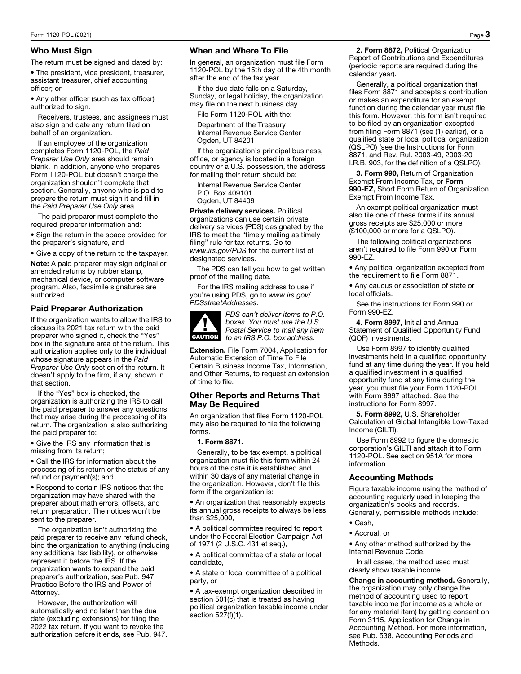## Who Must Sign

The return must be signed and dated by:

• The president, vice president, treasurer, assistant treasurer, chief accounting officer; or

• Any other officer (such as tax officer) authorized to sign.

Receivers, trustees, and assignees must also sign and date any return filed on behalf of an organization.

If an employee of the organization completes Form 1120-POL, the *Paid Preparer Use Only* area should remain blank. In addition, anyone who prepares Form 1120-POL but doesn't charge the organization shouldn't complete that section. Generally, anyone who is paid to prepare the return must sign it and fill in the *Paid Preparer Use Only* area.

The paid preparer must complete the required preparer information and:

• Sign the return in the space provided for the preparer's signature, and

• Give a copy of the return to the taxpayer.

Note: A paid preparer may sign original or amended returns by rubber stamp, mechanical device, or computer software program. Also, facsimile signatures are authorized.

## Paid Preparer Authorization

If the organization wants to allow the IRS to discuss its 2021 tax return with the paid preparer who signed it, check the "Yes" box in the signature area of the return. This authorization applies only to the individual whose signature appears in the *Paid Preparer Use Only* section of the return. It doesn't apply to the firm, if any, shown in that section.

If the "Yes" box is checked, the organization is authorizing the IRS to call the paid preparer to answer any questions that may arise during the processing of its return. The organization is also authorizing the paid preparer to:

• Give the IRS any information that is missing from its return;

• Call the IRS for information about the processing of its return or the status of any refund or payment(s); and

• Respond to certain IRS notices that the organization may have shared with the preparer about math errors, offsets, and return preparation. The notices won't be sent to the preparer.

The organization isn't authorizing the paid preparer to receive any refund check, bind the organization to anything (including any additional tax liability), or otherwise represent it before the IRS. If the organization wants to expand the paid preparer's authorization, see Pub. 947, Practice Before the IRS and Power of Attorney.

However, the authorization will automatically end no later than the due date (excluding extensions) for filing the 2022 tax return. If you want to revoke the authorization before it ends, see Pub. 947.

## When and Where To File

In general, an organization must file Form 1120-POL by the 15th day of the 4th month after the end of the tax year.

If the due date falls on a Saturday, Sunday, or legal holiday, the organization may file on the next business day.

File Form 1120-POL with the:

Department of the Treasury Internal Revenue Service Center Ogden, UT 84201

If the organization's principal business, office, or agency is located in a foreign country or a U.S. possession, the address for mailing their return should be:

Internal Revenue Service Center P.O. Box 409101 Ogden, UT 84409

Private delivery services. Political organizations can use certain private delivery services (PDS) designated by the IRS to meet the "timely mailing as timely filing" rule for tax returns. Go to *www.irs.gov/PDS* for the current list of designated services.

The PDS can tell you how to get written proof of the mailing date.

For the IRS mailing address to use if you're using PDS, go to *www.irs.gov/ PDSstreetAddresses*.



*PDS can't deliver items to P.O. boxes. You must use the U.S. Postal Service to mail any item to an IRS P.O. box address.* 

Extension. File Form 7004, Application for Automatic Extension of Time To File Certain Business Income Tax, Information, and Other Returns, to request an extension of time to file.

### Other Reports and Returns That May Be Required

An organization that files Form 1120-POL may also be required to file the following forms.

#### 1. Form 8871.

Generally, to be tax exempt, a political organization must file this form within 24 hours of the date it is established and within 30 days of any material change in the organization. However, don't file this form if the organization is:

• An organization that reasonably expects its annual gross receipts to always be less than \$25,000,

• A political committee required to report under the Federal Election Campaign Act of 1971 (2 U.S.C. 431 et seq.),

• A political committee of a state or local candidate,

• A state or local committee of a political party, or

• A tax-exempt organization described in section 501(c) that is treated as having political organization taxable income under section 527(f)(1).

2. Form 8872, Political Organization Report of Contributions and Expenditures (periodic reports are required during the calendar year).

Generally, a political organization that files Form 8871 and accepts a contribution or makes an expenditure for an exempt function during the calendar year must file this form. However, this form isn't required to be filed by an organization excepted from filing Form 8871 (see (1) earlier), or a qualified state or local political organization (QSLPO) (see the Instructions for Form 8871, and Rev. Rul. 2003-49, 2003-20 I.R.B. 903, for the definition of a QSLPO).

3. Form 990, Return of Organization Exempt From Income Tax, or Form 990-EZ, Short Form Return of Organization Exempt From Income Tax.

An exempt political organization must also file one of these forms if its annual gross receipts are \$25,000 or more (\$100,000 or more for a QSLPO).

The following political organizations aren't required to file Form 990 or Form 990-EZ.

• Any political organization excepted from the requirement to file Form 8871.

• Any caucus or association of state or local officials.

See the instructions for Form 990 or Form 990-EZ.

4. Form 8997, Initial and Annual Statement of Qualified Opportunity Fund (QOF) Investments.

Use Form 8997 to identify qualified investments held in a qualified opportunity fund at any time during the year. If you held a qualified investment in a qualified opportunity fund at any time during the year, you must file your Form 1120-POL with Form 8997 attached. See the instructions for Form 8997.

5. Form 8992, U.S. Shareholder Calculation of Global Intangible Low-Taxed Income (GILTI).

Use Form 8992 to figure the domestic corporation's GILTI and attach it to Form 1120-POL. See section 951A for more information.

#### Accounting Methods

Figure taxable income using the method of accounting regularly used in keeping the organization's books and records. Generally, permissible methods include:

- Cash,
- Accrual, or

• Any other method authorized by the Internal Revenue Code.

In all cases, the method used must clearly show taxable income.

Change in accounting method. Generally, the organization may only change the method of accounting used to report taxable income (for income as a whole or for any material item) by getting consent on Form 3115, Application for Change in Accounting Method. For more information, see Pub. 538, Accounting Periods and Methods.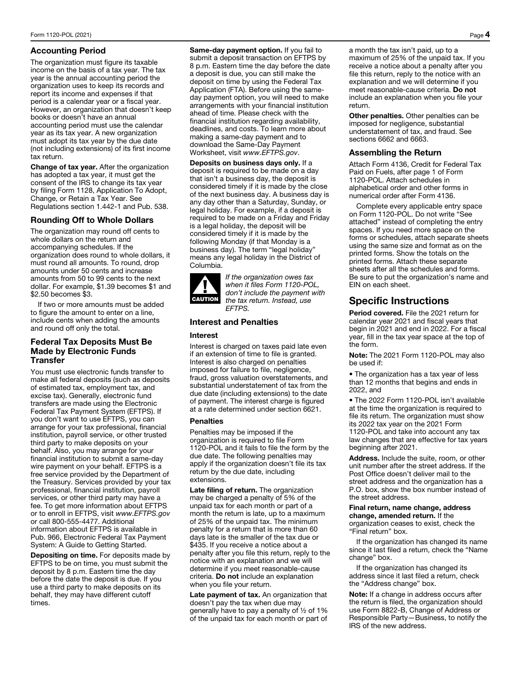### Accounting Period

The organization must figure its taxable income on the basis of a tax year. The tax year is the annual accounting period the organization uses to keep its records and report its income and expenses if that period is a calendar year or a fiscal year. However, an organization that doesn't keep books or doesn't have an annual accounting period must use the calendar year as its tax year. A new organization must adopt its tax year by the due date (not including extensions) of its first income tax return.

Change of tax year. After the organization has adopted a tax year, it must get the consent of the IRS to change its tax year by filing Form 1128, Application To Adopt, Change, or Retain a Tax Year. See Regulations section 1.442-1 and Pub. 538.

## Rounding Off to Whole Dollars

The organization may round off cents to whole dollars on the return and accompanying schedules. If the organization does round to whole dollars, it must round all amounts. To round, drop amounts under 50 cents and increase amounts from 50 to 99 cents to the next dollar. For example, \$1.39 becomes \$1 and \$2.50 becomes \$3.

If two or more amounts must be added to figure the amount to enter on a line, include cents when adding the amounts and round off only the total.

## Federal Tax Deposits Must Be Made by Electronic Funds **Transfer**

You must use electronic funds transfer to make all federal deposits (such as deposits of estimated tax, employment tax, and excise tax). Generally, electronic fund transfers are made using the Electronic Federal Tax Payment System (EFTPS). If you don't want to use EFTPS, you can arrange for your tax professional, financial institution, payroll service, or other trusted third party to make deposits on your behalf. Also, you may arrange for your financial institution to submit a same-day wire payment on your behalf. EFTPS is a free service provided by the Department of the Treasury. Services provided by your tax professional, financial institution, payroll services, or other third party may have a fee. To get more information about EFTPS or to enroll in EFTPS, visit *www.EFTPS.gov* or call 800-555-4477. Additional information about EFTPS is available in Pub. 966, Electronic Federal Tax Payment System: A Guide to Getting Started.

Depositing on time. For deposits made by EFTPS to be on time, you must submit the deposit by 8 p.m. Eastern time the day before the date the deposit is due. If you use a third party to make deposits on its behalf, they may have different cutoff times.

Same-day payment option. If you fail to submit a deposit transaction on EFTPS by 8 p.m. Eastern time the day before the date a deposit is due, you can still make the deposit on time by using the Federal Tax Application (FTA). Before using the sameday payment option, you will need to make arrangements with your financial institution ahead of time. Please check with the financial institution regarding availability, deadlines, and costs. To learn more about making a same-day payment and to download the Same-Day Payment Worksheet, visit *www.EFTPS.gov*.

Deposits on business days only. If a deposit is required to be made on a day that isn't a business day, the deposit is considered timely if it is made by the close of the next business day. A business day is any day other than a Saturday, Sunday, or legal holiday. For example, if a deposit is required to be made on a Friday and Friday is a legal holiday, the deposit will be considered timely if it is made by the following Monday (if that Monday is a business day). The term "legal holiday" means any legal holiday in the District of Columbia.



*If the organization owes tax when it files Form 1120-POL, don't include the payment with the tax return. Instead, use EFTPS.* 

## Interest and Penalties

#### Interest

Interest is charged on taxes paid late even if an extension of time to file is granted. Interest is also charged on penalties imposed for failure to file, negligence, fraud, gross valuation overstatements, and substantial understatement of tax from the due date (including extensions) to the date of payment. The interest charge is figured at a rate determined under section 6621.

#### **Penalties**

Penalties may be imposed if the organization is required to file Form 1120-POL and it fails to file the form by the due date. The following penalties may apply if the organization doesn't file its tax return by the due date, including extensions.

Late filing of return. The organization may be charged a penalty of 5% of the unpaid tax for each month or part of a month the return is late, up to a maximum of 25% of the unpaid tax. The minimum penalty for a return that is more than 60 days late is the smaller of the tax due or \$435. If you receive a notice about a penalty after you file this return, reply to the notice with an explanation and we will determine if you meet reasonable-cause criteria. Do not include an explanation when you file your return.

Late payment of tax. An organization that doesn't pay the tax when due may generally have to pay a penalty of ½ of 1% of the unpaid tax for each month or part of a month the tax isn't paid, up to a maximum of 25% of the unpaid tax. If you receive a notice about a penalty after you file this return, reply to the notice with an explanation and we will determine if you meet reasonable-cause criteria. Do not include an explanation when you file your return.

Other penalties. Other penalties can be imposed for negligence, substantial understatement of tax, and fraud. See sections 6662 and 6663.

#### Assembling the Return

Attach Form 4136, Credit for Federal Tax Paid on Fuels, after page 1 of Form 1120-POL. Attach schedules in alphabetical order and other forms in numerical order after Form 4136.

Complete every applicable entry space on Form 1120-POL. Do not write "See attached" instead of completing the entry spaces. If you need more space on the forms or schedules, attach separate sheets using the same size and format as on the printed forms. Show the totals on the printed forms. Attach these separate sheets after all the schedules and forms. Be sure to put the organization's name and EIN on each sheet.

## Specific Instructions

Period covered. File the 2021 return for calendar year 2021 and fiscal years that begin in 2021 and end in 2022. For a fiscal year, fill in the tax year space at the top of the form.

Note: The 2021 Form 1120-POL may also be used if:

• The organization has a tax year of less than 12 months that begins and ends in 2022, and

• The 2022 Form 1120-POL isn't available at the time the organization is required to file its return. The organization must show its 2022 tax year on the 2021 Form 1120-POL and take into account any tax law changes that are effective for tax years beginning after 2021.

Address. Include the suite, room, or other unit number after the street address. If the Post Office doesn't deliver mail to the street address and the organization has a P.O. box, show the box number instead of the street address.

#### Final return, name change, address change, amended return. If the

organization ceases to exist, check the "Final return" box.

If the organization has changed its name since it last filed a return, check the "Name change" box.

If the organization has changed its address since it last filed a return, check the "Address change" box.

Note: If a change in address occurs after the return is filed, the organization should use Form 8822-B, Change of Address or Responsible Party—Business, to notify the IRS of the new address.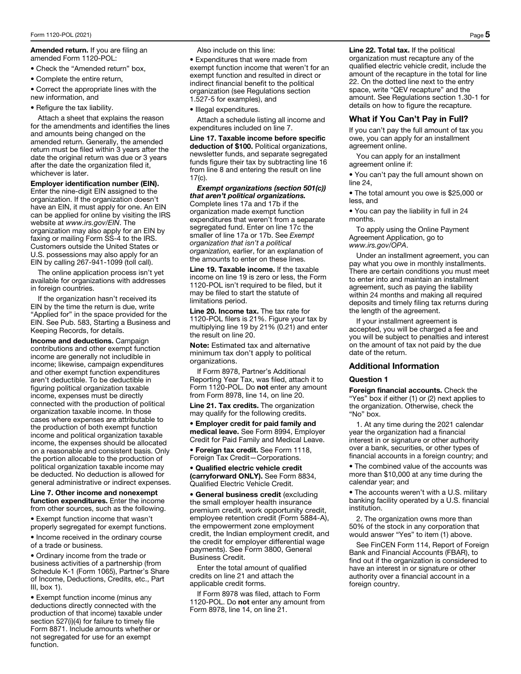#### Amended return. If you are filing an amended Form 1120-POL:

• Check the "Amended return" box,

• Complete the entire return,

• Correct the appropriate lines with the new information, and

• Refigure the tax liability.

Attach a sheet that explains the reason for the amendments and identifies the lines and amounts being changed on the amended return. Generally, the amended return must be filed within 3 years after the date the original return was due or 3 years after the date the organization filed it, whichever is later.

#### Employer identification number (EIN).

Enter the nine-digit EIN assigned to the organization. If the organization doesn't have an EIN, it must apply for one. An EIN can be applied for online by visiting the IRS website at *www.irs.gov/EIN*. The organization may also apply for an EIN by faxing or mailing Form SS-4 to the IRS. Customers outside the United States or U.S. possessions may also apply for an EIN by calling 267-941-1099 (toll call).

The online application process isn't yet available for organizations with addresses in foreign countries.

If the organization hasn't received its EIN by the time the return is due, write "Applied for" in the space provided for the EIN. See Pub. 583, Starting a Business and Keeping Records, for details.

Income and deductions. Campaign contributions and other exempt function income are generally not includible in income; likewise, campaign expenditures and other exempt function expenditures aren't deductible. To be deductible in figuring political organization taxable income, expenses must be directly connected with the production of political organization taxable income. In those cases where expenses are attributable to the production of both exempt function income and political organization taxable income, the expenses should be allocated on a reasonable and consistent basis. Only the portion allocable to the production of political organization taxable income may be deducted. No deduction is allowed for general administrative or indirect expenses.

Line 7. Other income and nonexempt function expenditures. Enter the income from other sources, such as the following.

• Exempt function income that wasn't properly segregated for exempt functions.

• Income received in the ordinary course of a trade or business.

• Ordinary income from the trade or business activities of a partnership (from Schedule K-1 (Form 1065), Partner's Share of Income, Deductions, Credits, etc., Part III, box 1).

• Exempt function income (minus any deductions directly connected with the production of that income) taxable under section 527(i)(4) for failure to timely file Form 8871. Include amounts whether or not segregated for use for an exempt function.

Also include on this line:

• Expenditures that were made from exempt function income that weren't for an exempt function and resulted in direct or indirect financial benefit to the political organization (see Regulations section 1.527-5 for examples), and

• Illegal expenditures.

Attach a schedule listing all income and expenditures included on line 7.

Line 17. Taxable income before specific deduction of \$100. Political organizations, newsletter funds, and separate segregated funds figure their tax by subtracting line 16 from line 8 and entering the result on line 17(c).

*Exempt organizations (section 501(c)) that aren't political organizations.*  Complete lines 17a and 17b if the organization made exempt function expenditures that weren't from a separate segregated fund. Enter on line 17c the smaller of line 17a or 17b. See *Exempt organization that isn't a political organization,* earlier, for an explanation of the amounts to enter on these lines.

Line 19. Taxable income. If the taxable income on line 19 is zero or less, the Form 1120-POL isn't required to be filed, but it may be filed to start the statute of limitations period.

Line 20. Income tax. The tax rate for 1120-POL filers is 21%. Figure your tax by multiplying line 19 by 21% (0.21) and enter the result on line 20.

Note: Estimated tax and alternative minimum tax don't apply to political organizations.

If Form 8978, Partner's Additional Reporting Year Tax, was filed, attach it to Form 1120-POL. Do not enter any amount from Form 8978, line 14, on line 20.

Line 21. Tax credits. The organization may qualify for the following credits.

• Employer credit for paid family and medical leave. See Form 8994, Employer Credit for Paid Family and Medical Leave.

• Foreign tax credit. See Form 1118, Foreign Tax Credit—Corporations.

• Qualified electric vehicle credit (carryforward ONLY). See Form 8834, Qualified Electric Vehicle Credit.

• General business credit (excluding the small employer health insurance premium credit, work opportunity credit, employee retention credit (Form 5884-A), the empowerment zone employment credit, the Indian employment credit, and the credit for employer differential wage payments). See Form 3800, General Business Credit.

Enter the total amount of qualified credits on line 21 and attach the applicable credit forms.

If Form 8978 was filed, attach to Form 1120-POL. Do not enter any amount from Form 8978, line 14, on line 21.

Line 22. Total tax. If the political organization must recapture any of the qualified electric vehicle credit, include the amount of the recapture in the total for line 22. On the dotted line next to the entry space, write "QEV recapture" and the amount. See Regulations section 1.30-1 for details on how to figure the recapture.

## What if You Can't Pay in Full?

If you can't pay the full amount of tax you owe, you can apply for an installment agreement online.

You can apply for an installment agreement online if:

• You can't pay the full amount shown on line 24,

• The total amount you owe is \$25,000 or less, and

• You can pay the liability in full in 24 months.

To apply using the Online Payment Agreement Application, go to *www.irs.gov/OPA*.

Under an installment agreement, you can pay what you owe in monthly installments. There are certain conditions you must meet to enter into and maintain an installment agreement, such as paying the liability within 24 months and making all required deposits and timely filing tax returns during the length of the agreement.

If your installment agreement is accepted, you will be charged a fee and you will be subject to penalties and interest on the amount of tax not paid by the due date of the return.

## Additional Information

#### Question 1

Foreign financial accounts. Check the "Yes" box if either (1) or (2) next applies to the organization. Otherwise, check the "No" box.

1. At any time during the 2021 calendar year the organization had a financial interest in or signature or other authority over a bank, securities, or other types of financial accounts in a foreign country; and

• The combined value of the accounts was more than \$10,000 at any time during the calendar year; and

• The accounts weren't with a U.S. military banking facility operated by a U.S. financial institution.

2. The organization owns more than 50% of the stock in any corporation that would answer "Yes" to item (1) above.

See FinCEN Form 114, Report of Foreign Bank and Financial Accounts (FBAR), to find out if the organization is considered to have an interest in or signature or other authority over a financial account in a foreign country.